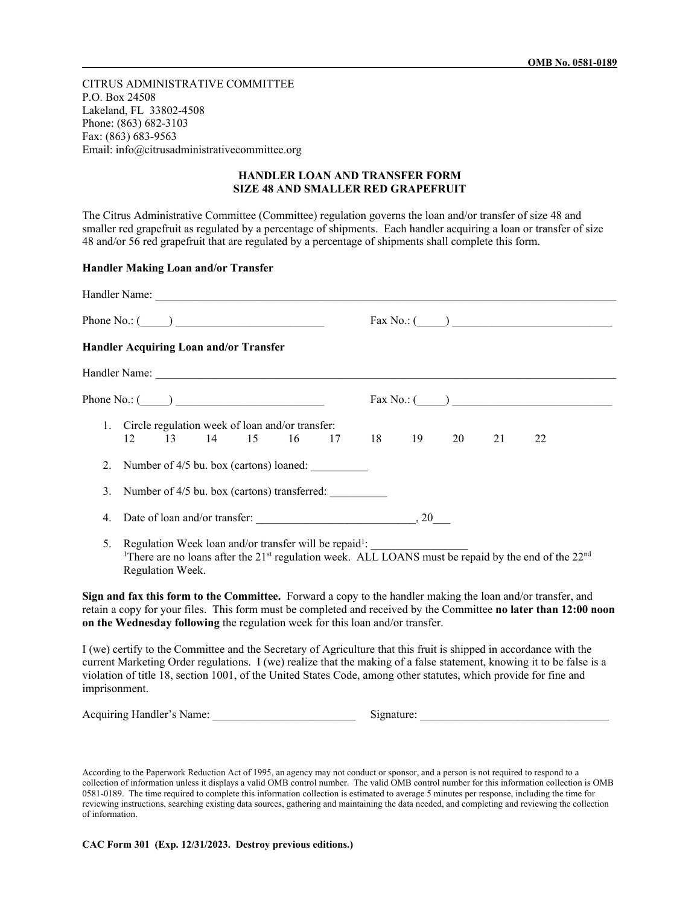CITRUS ADMINISTRATIVE COMMITTEE P.O. Box 24508 Lakeland, FL 33802-4508 Phone: (863) 682-3103 Fax: (863) 683-9563 Email: info@citrusadministrativecommittee.org

## **HANDLER LOAN AND TRANSFER FORM SIZE 48 AND SMALLER RED GRAPEFRUIT**

The Citrus Administrative Committee (Committee) regulation governs the loan and/or transfer of size 48 and smaller red grapefruit as regulated by a percentage of shipments. Each handler acquiring a loan or transfer of size 48 and/or 56 red grapefruit that are regulated by a percentage of shipments shall complete this form.

## **Handler Making Loan and/or Transfer**

|    | Phone No.: $(\_\_\_\_\_\$<br>$\text{Fax No.:}$ $\qquad \qquad$                                                                                                                                                                                                                                                                                                                   |
|----|----------------------------------------------------------------------------------------------------------------------------------------------------------------------------------------------------------------------------------------------------------------------------------------------------------------------------------------------------------------------------------|
|    | Handler Acquiring Loan and/or Transfer                                                                                                                                                                                                                                                                                                                                           |
|    |                                                                                                                                                                                                                                                                                                                                                                                  |
|    | Phone No.: $\qquad \qquad$<br>$\text{Fax No.:}$ $\qquad \qquad$                                                                                                                                                                                                                                                                                                                  |
|    | 1. Circle regulation week of loan and/or transfer:<br>13 14 15<br>18 19 20<br>16<br>17<br>21<br>22<br>12                                                                                                                                                                                                                                                                         |
| 2. | Number of 4/5 bu. box (cartons) loaned:                                                                                                                                                                                                                                                                                                                                          |
| 3. | Number of 4/5 bu. box (cartons) transferred:                                                                                                                                                                                                                                                                                                                                     |
| 4. |                                                                                                                                                                                                                                                                                                                                                                                  |
| 5. | Regulation Week loan and/or transfer will be repaid <sup>1</sup> :<br><sup>1</sup> There are no loans after the 21 <sup>st</sup> regulation week. ALL LOANS must be repaid by the end of the 22 <sup>nd</sup><br>Regulation Week.                                                                                                                                                |
|    | Sign and fax this form to the Committee. Forward a copy to the handler making the loan and/or transfer, and<br>retain a copy for your files. This form must be completed and received by the Committee no later than 12:00 noon<br>on the Wednesday following the regulation week for this loan and/or transfer.                                                                 |
|    | I (we) certify to the Committee and the Secretary of Agriculture that this fruit is shipped in accordance with the<br>current Marketing Order regulations. I (we) realize that the making of a false statement, knowing it to be false is a<br>violation of title 18, section 1001, of the United States Code, among other statutes, which provide for fine and<br>imprisonment. |

Acquiring Handler's Name:  $\Box$  Signature:  $\Box$ 

According to the Paperwork Reduction Act of 1995, an agency may not conduct or sponsor, and a person is not required to respond to a collection of information unless it displays a valid OMB control number. The valid OMB control number for this information collection is OMB 0581-0189. The time required to complete this information collection is estimated to average 5 minutes per response, including the time for reviewing instructions, searching existing data sources, gathering and maintaining the data needed, and completing and reviewing the collection of information.